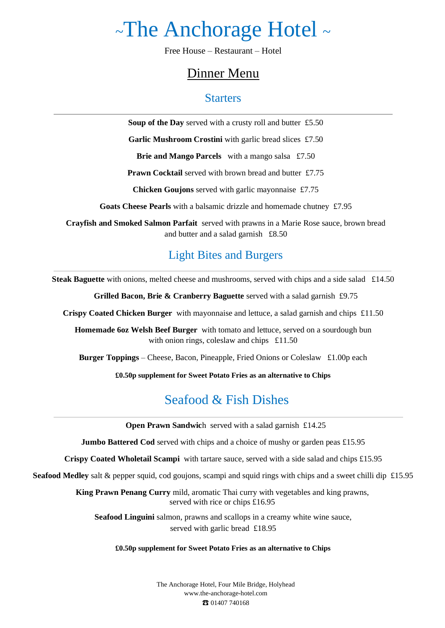# <sup>~</sup>The Anchorage Hotel <sup>~</sup>

Free House – Restaurant – Hotel

## Dinner Menu

### **Starters**

**Soup of the Day** served with a crusty roll and butter £5.50

Garlic Mushroom Crostini with garlic bread slices £7.50

**Brie and Mango Parcels** with a mango salsa £7.50

**Prawn Cocktail** served with brown bread and butter £7.75

**Chicken Goujons** served with garlic mayonnaise £7.75

**Goats Cheese Pearls** with a balsamic drizzle and homemade chutney£7.95

**Crayfish and Smoked Salmon Parfait** served with prawns in a Marie Rose sauce, brown bread and butter and a salad garnish £8.50

### Light Bites and Burgers

**Steak Baguette** with onions, melted cheese and mushrooms, served with chips and a side salad £14.50

**Grilled Bacon, Brie & Cranberry Baguette** served with a salad garnish £9.75

**Crispy Coated Chicken Burger** with mayonnaise and lettuce, a salad garnish and chips £11.50

**Homemade 6oz Welsh Beef Burger** with tomato and lettuce, served on a sourdough bun with onion rings, coleslaw and chips £11.50

**Burger Toppings** – Cheese, Bacon, Pineapple, Fried Onions or Coleslaw £1.00p each

**£0.50p supplement for Sweet Potato Fries as an alternative to Chips**

# Seafood & Fish Dishes

**Open Prawn Sandwich** served with a salad garnish £14.25

**Jumbo Battered Cod** served with chips and a choice of mushy or garden peas £15.95

**Crispy Coated Wholetail Scampi** with tartare sauce, served with a side salad and chips £15.95

**Seafood Medley** salt & pepper squid, cod goujons, scampi and squid rings with chips and a sweet chilli dip £15.95

**King Prawn Penang Curry** mild, aromatic Thai curry with vegetables and king prawns, served with rice or chips £16.95

**Seafood Linguini** salmon, prawns and scallops in a creamy white wine sauce, served with garlic bread £18.95

#### **£0.50p supplement for Sweet Potato Fries as an alternative to Chips**

The Anchorage Hotel, Four Mile Bridge, Holyhead [www.the-anchorage-hotel.com](http://www.the-anchorage-hotel.com/) ☎ 01407 740168